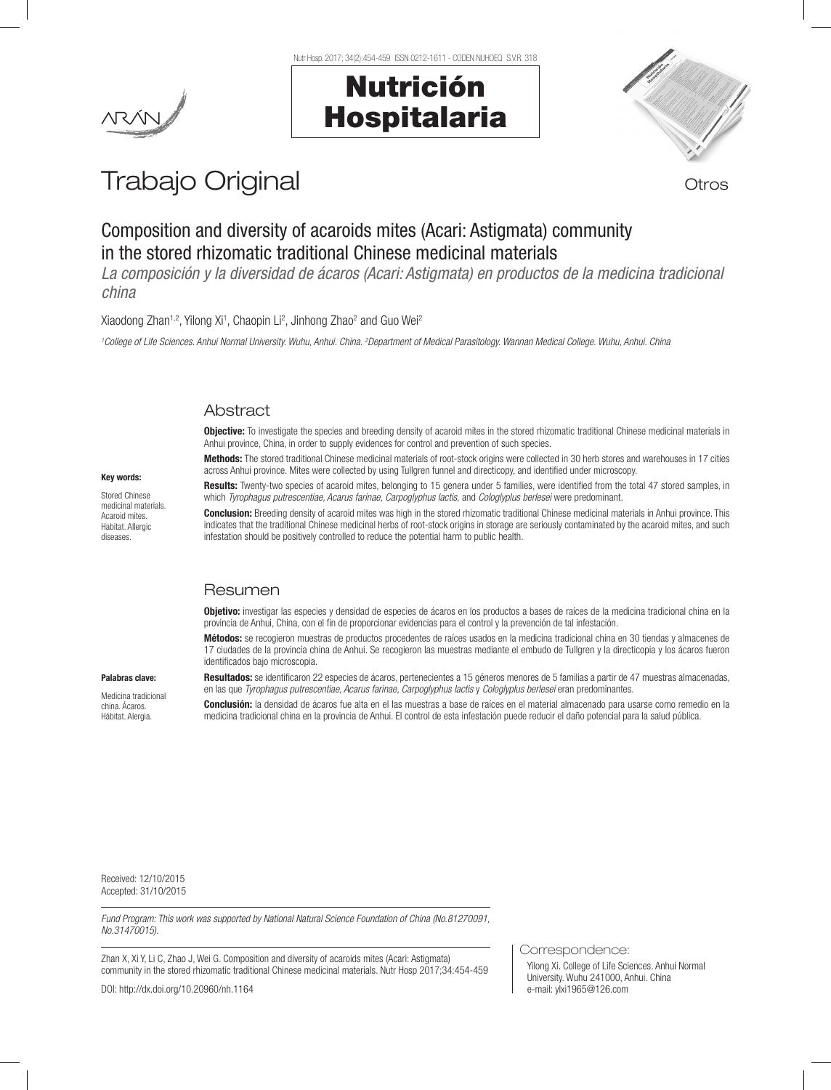

# Nutrición Hospitalaria

Nutr Hosp. 2017; 34(2):454-459 ISSN 0212-1611 - CODEN NUHOEQ S.V.R. 318



Trabajo Original **Trabajo Original** 

# Composition and diversity of acaroids mites (Acari: Astigmata) community in the stored rhizomatic traditional Chinese medicinal materials

*La composición y la diversidad de ácaros (Acari: Astigmata) en productos de la medicina tradicional china* 

Xiaodong Zhan<sup>1,2</sup>, Yilong Xi<sup>1</sup>, Chaopin Li<sup>2</sup>, Jinhong Zhao<sup>2</sup> and Guo Wei<sup>2</sup>

*1 College of Life Sciences. Anhui Normal University. Wuhu, Anhui. China. 2 Department of Medical Parasitology. Wannan Medical College. Wuhu, Anhui. China*

# Abstract

Objective: To investigate the species and breeding density of acaroid mites in the stored rhizomatic traditional Chinese medicinal materials in Anhui province, China, in order to supply evidences for control and prevention of such species.

Methods: The stored traditional Chinese medicinal materials of root-stock origins were collected in 30 herb stores and warehouses in 17 cities across Anhui province. Mites were collected by using Tullgren funnel and directicopy, and identified under microscopy

# Key words:

Stored Chinese medicinal materials. Acaroid mites. Habitat. Allergic diseases.

Results: Twenty-two species of acaroid mites, belonging to 15 genera under 5 families, were identified from the total 47 stored samples, in which *Tyrophagus putrescentiae, Acarus farinae*, *Carpoglyphus lactis*, and *Cologlyplus berlesei* were predominant.

Conclusion: Breeding density of acaroid mites was high in the stored rhizomatic traditional Chinese medicinal materials in Anhui province. This indicates that the traditional Chinese medicinal herbs of root-stock origins in storage are seriously contaminated by the acaroid mites, and such infestation should be positively controlled to reduce the potential harm to public health.

# Resumen

Objetivo: investigar las especies y densidad de especies de ácaros en los productos a bases de raíces de la medicina tradicional china en la provincia de Anhui, China, con el fin de proporcionar evidencias para el control y la prevención de tal infestación.

Métodos: se recogieron muestras de productos procedentes de raíces usados en la medicina tradicional china en 30 tiendas y almacenes de 17 ciudades de la provincia china de Anhui. Se recogieron las muestras mediante el embudo de Tullgren y la directicopia y los ácaros fueron identificados bajo microscopia.

Resultados: se identificaron 22 especies de ácaros, pertenecientes a 15 géneros menores de 5 familias a partir de 47 muestras almacenadas, en las que *Tyrophagus putrescentiae, Acarus farinae, Carpoglyphus lactis y Cologlyplus berlesei* eran predominantes.

Medicina tradicional china. Ácaros. Hábitat. Alergia.

Palabras clave:

Conclusión: la densidad de ácaros fue alta en el las muestras a base de raíces en el material almacenado para usarse como remedio en la medicina tradicional china en la provincia de Anhui. El control de esta infestación puede reducir el daño potencial para la salud pública.

Received: 12/10/2015 Accepted: 31/10/2015

*Fund Program: This work was supported by National Natural Science Foundation of China (No.81270091, No.31470015).*

Zhan X, Xi Y, Li C, Zhao J, Wei G. Composition and diversity of acaroids mites (Acari: Astigmata) community in the stored rhizomatic traditional Chinese medicinal materials. Nutr Hosp 2017;34:454-459

DOI: http://dx.doi.org/10.20960/nh.1164

Correspondence:

Yilong Xi. College of Life Sciences. Anhui Normal University. Wuhu 241000, Anhui. China e-mail: ylxi1965@126.com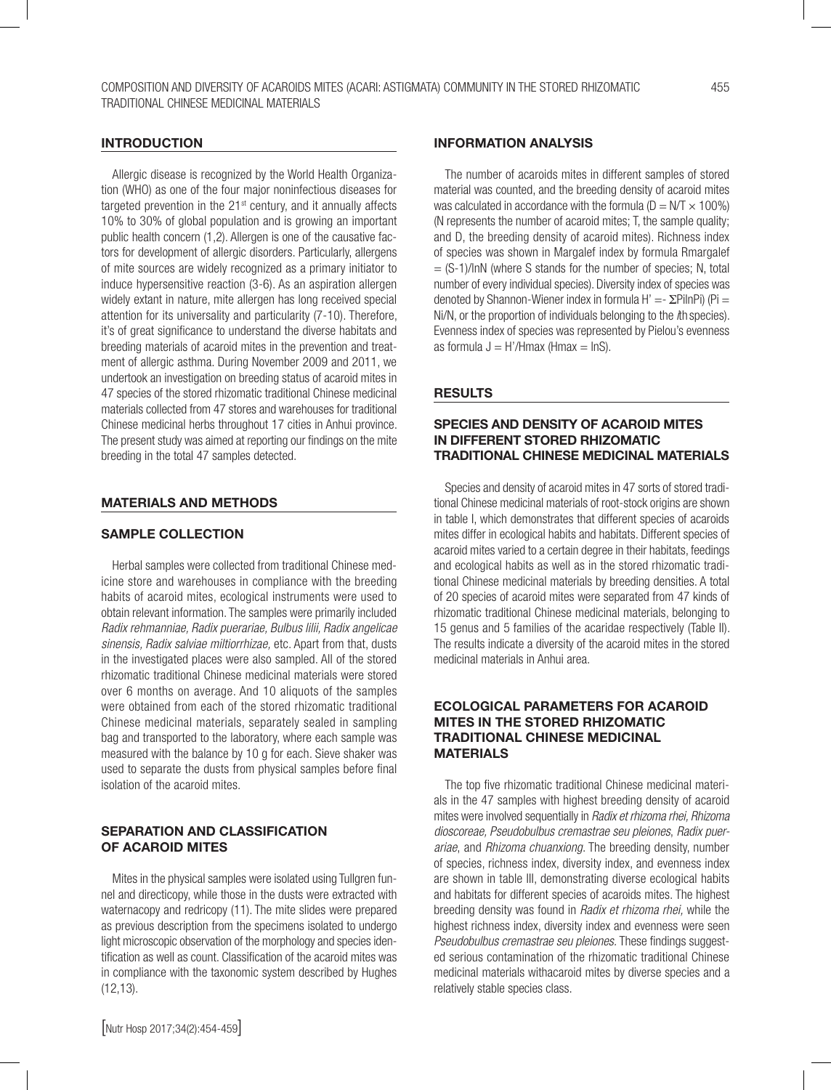#### INTRODUCTION

Allergic disease is recognized by the World Health Organization (WHO) as one of the four major noninfectious diseases for targeted prevention in the 21<sup>st</sup> century, and it annually affects 10% to 30% of global population and is growing an important public health concern (1,2). Allergen is one of the causative factors for development of allergic disorders. Particularly, allergens of mite sources are widely recognized as a primary initiator to induce hypersensitive reaction (3-6). As an aspiration allergen widely extant in nature, mite allergen has long received special attention for its universality and particularity (7-10). Therefore, it's of great significance to understand the diverse habitats and breeding materials of acaroid mites in the prevention and treatment of allergic asthma. During November 2009 and 2011, we undertook an investigation on breeding status of acaroid mites in 47 species of the stored rhizomatic traditional Chinese medicinal materials collected from 47 stores and warehouses for traditional Chinese medicinal herbs throughout 17 cities in Anhui province. The present study was aimed at reporting our findings on the mite breeding in the total 47 samples detected.

#### MATERIALS AND METHODS

#### SAMPLE COLLECTION

Herbal samples were collected from traditional Chinese medicine store and warehouses in compliance with the breeding habits of acaroid mites, ecological instruments were used to obtain relevant information. The samples were primarily included *Radix rehmanniae, Radix puerariae, Bulbus lilii, Radix angelicae sinensis, Radix salviae miltiorrhizae,* etc. Apart from that, dusts in the investigated places were also sampled. All of the stored rhizomatic traditional Chinese medicinal materials were stored over 6 months on average. And 10 aliquots of the samples were obtained from each of the stored rhizomatic traditional Chinese medicinal materials, separately sealed in sampling bag and transported to the laboratory, where each sample was measured with the balance by 10 g for each. Sieve shaker was used to separate the dusts from physical samples before final isolation of the acaroid mites.

# SEPARATION AND CLASSIFICATION OF ACAROID MITES

Mites in the physical samples were isolated using Tullgren funnel and directicopy, while those in the dusts were extracted with waternacopy and redricopy (11). The mite slides were prepared as previous description from the specimens isolated to undergo light microscopic observation of the morphology and species identification as well as count. Classification of the acaroid mites was in compliance with the taxonomic system described by Hughes (12,13).

#### INFORMATION ANALYSIS

The number of acaroids mites in different samples of stored material was counted, and the breeding density of acaroid mites was calculated in accordance with the formula ( $D = N/T \times 100\%$ ) (N represents the number of acaroid mites; T, the sample quality; and D, the breeding density of acaroid mites). Richness index of species was shown in Margalef index by formula Rmargalef  $=$   $(S-1)/lnN$  (where S stands for the number of species; N, total number of every individual species). Diversity index of species was denoted by Shannon-Wiener index in formula H' =  $\Sigma$ PilnPi) (Pi = Ni/N, or the proportion of individuals belonging to the *i*th species). Evenness index of species was represented by Pielou's evenness as formula  $J = H'/H$ max (Hmax = lnS).

#### **RESULTS**

#### SPECIES AND DENSITY OF ACAROID MITES IN DIFFERENT STORED RHIZOMATIC TRADITIONAL CHINESE MEDICINAL MATERIALS

Species and density of acaroid mites in 47 sorts of stored traditional Chinese medicinal materials of root-stock origins are shown in table I, which demonstrates that different species of acaroids mites differ in ecological habits and habitats. Different species of acaroid mites varied to a certain degree in their habitats, feedings and ecological habits as well as in the stored rhizomatic traditional Chinese medicinal materials by breeding densities. A total of 20 species of acaroid mites were separated from 47 kinds of rhizomatic traditional Chinese medicinal materials, belonging to 15 genus and 5 families of the acaridae respectively (Table II). The results indicate a diversity of the acaroid mites in the stored medicinal materials in Anhui area.

# ECOLOGICAL PARAMETERS FOR ACAROID MITES IN THE STORED RHIZOMATIC TRADITIONAL CHINESE MEDICINAL MATERIALS

The top five rhizomatic traditional Chinese medicinal materials in the 47 samples with highest breeding density of acaroid mites were involved sequentially in *Radix et rhizoma rhei, Rhizoma dioscoreae, Pseudobulbus cremastrae seu pleiones*, *Radix puerariae*, and *Rhizoma chuanxiong*. The breeding density, number of species, richness index, diversity index, and evenness index are shown in table III, demonstrating diverse ecological habits and habitats for different species of acaroids mites. The highest breeding density was found in *Radix et rhizoma rhei,* while the highest richness index, diversity index and evenness were seen *Pseudobulbus cremastrae seu pleiones.* These findings suggested serious contamination of the rhizomatic traditional Chinese medicinal materials withacaroid mites by diverse species and a relatively stable species class.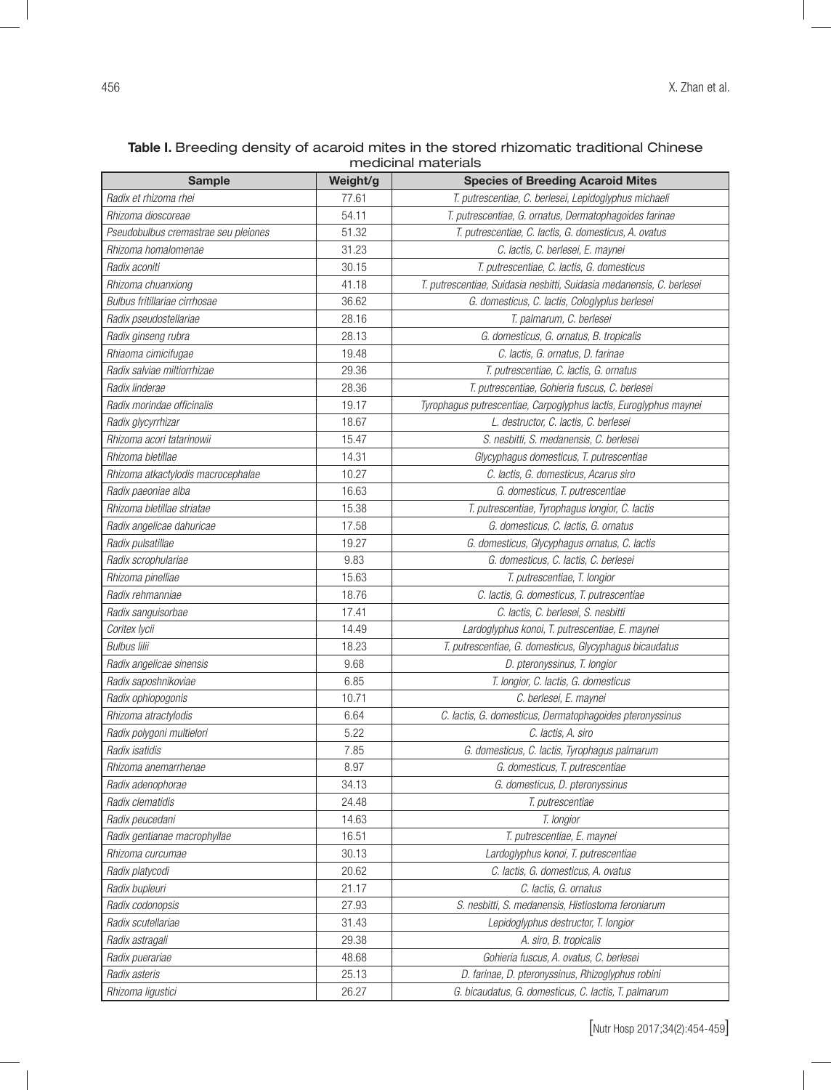| medicinal materials                  |          |                                                                       |  |  |  |
|--------------------------------------|----------|-----------------------------------------------------------------------|--|--|--|
| <b>Sample</b>                        | Weight/g | <b>Species of Breeding Acaroid Mites</b>                              |  |  |  |
| Radix et rhizoma rhei                | 77.61    | T. putrescentiae, C. berlesei, Lepidoglyphus michaeli                 |  |  |  |
| Rhizoma dioscoreae                   | 54.11    | T. putrescentiae, G. ornatus, Dermatophagoides farinae                |  |  |  |
| Pseudobulbus cremastrae seu pleiones | 51.32    | T. putrescentiae, C. lactis, G. domesticus, A. ovatus                 |  |  |  |
| Rhizoma homalomenae                  | 31.23    | C. lactis, C. berlesei, E. maynei                                     |  |  |  |
| Radix aconiti                        | 30.15    | T. putrescentiae, C. lactis, G. domesticus                            |  |  |  |
| Rhizoma chuanxiong                   | 41.18    | T. putrescentiae, Suidasia nesbitti, Suidasia medanensis, C. berlesei |  |  |  |
| Bulbus fritillariae cirrhosae        | 36.62    | G. domesticus, C. lactis, Cologlyplus berlesei                        |  |  |  |
| Radix pseudostellariae               | 28.16    | T. palmarum, C. berlesei                                              |  |  |  |
| Radix ginseng rubra                  | 28.13    | G. domesticus, G. ornatus, B. tropicalis                              |  |  |  |
| Rhiaoma cimicifugae                  | 19.48    | C. lactis, G. ornatus, D. farinae                                     |  |  |  |
| Radix salviae miltiorrhizae          | 29.36    | T. putrescentiae, C. lactis, G. ornatus                               |  |  |  |
| Radix linderae                       | 28.36    | T. putrescentiae, Gohieria fuscus, C. berlesei                        |  |  |  |
| Radix morindae officinalis           | 19.17    | Tyrophagus putrescentiae, Carpoglyphus lactis, Euroglyphus maynei     |  |  |  |
| Radix glycyrrhizar                   | 18.67    | L. destructor, C. lactis, C. berlesei                                 |  |  |  |
| Rhizoma acori tatarinowii            | 15.47    | S. nesbitti, S. medanensis, C. berlesei                               |  |  |  |
| Rhizoma bletillae                    | 14.31    | Glycyphagus domesticus, T. putrescentiae                              |  |  |  |
| Rhizoma atkactylodis macrocephalae   | 10.27    | C. lactis, G. domesticus, Acarus siro                                 |  |  |  |
| Radix paeoniae alba                  | 16.63    | G. domesticus, T. putrescentiae                                       |  |  |  |
| Rhizoma bletillae striatae           | 15.38    | T. putrescentiae, Tyrophagus longior, C. lactis                       |  |  |  |
| Radix angelicae dahuricae            | 17.58    | G. domesticus, C. lactis, G. ornatus                                  |  |  |  |
| Radix pulsatillae                    | 19.27    | G. domesticus, Glycyphagus ornatus, C. lactis                         |  |  |  |
| Radix scrophulariae                  | 9.83     | G. domesticus, C. lactis, C. berlesei                                 |  |  |  |
| Rhizoma pinelliae                    | 15.63    | T. putrescentiae, T. longior                                          |  |  |  |
| Radix rehmanniae                     | 18.76    | C. lactis, G. domesticus, T. putrescentiae                            |  |  |  |
| Radix sanguisorbae                   | 17.41    | C. lactis, C. berlesei, S. nesbitti                                   |  |  |  |
| Coritex lycii                        | 14.49    | Lardoglyphus konoi, T. putrescentiae, E. maynei                       |  |  |  |
| <b>Bulbus lilii</b>                  | 18.23    | T. putrescentiae, G. domesticus, Glycyphagus bicaudatus               |  |  |  |
| Radix angelicae sinensis             | 9.68     | D. pteronyssinus, T. longior                                          |  |  |  |
| Radix saposhnikoviae                 | 6.85     | T. longior, C. lactis, G. domesticus                                  |  |  |  |
| Radix ophiopogonis                   | 10.71    | C. berlesei, E. maynei                                                |  |  |  |
| Rhizoma atractylodis                 | 6.64     | C. lactis, G. domesticus, Dermatophagoides pteronyssinus              |  |  |  |
| Radix polygoni multielori            | 5.22     | C. lactis, A. siro                                                    |  |  |  |
| Radix isatidis                       | 7.85     | G. domesticus, C. lactis, Tyrophagus palmarum                         |  |  |  |
| Rhizoma anemarrhenae                 | 8.97     | G. domesticus, T. putrescentiae                                       |  |  |  |
| Radix adenophorae                    | 34.13    | G. domesticus, D. pteronyssinus                                       |  |  |  |
| Radix clematidis                     | 24.48    | T. putrescentiae                                                      |  |  |  |
| Radix peucedani                      | 14.63    | T. longior                                                            |  |  |  |
| Radix gentianae macrophyllae         | 16.51    | T. putrescentiae, E. maynei                                           |  |  |  |
| Rhizoma curcumae                     | 30.13    | Lardoglyphus konoi, T. putrescentiae                                  |  |  |  |
| Radix platycodi                      | 20.62    | C. lactis, G. domesticus, A. ovatus                                   |  |  |  |
| Radix bupleuri                       | 21.17    |                                                                       |  |  |  |
| Radix codonopsis                     | 27.93    | C. lactis, G. ornatus                                                 |  |  |  |
| Radix scutellariae                   | 31.43    | S. nesbitti, S. medanensis, Histiostoma feroniarum                    |  |  |  |
| Radix astragali                      | 29.38    | Lepidoglyphus destructor, T. longior                                  |  |  |  |
| Radix puerariae                      | 48.68    | A. siro, B. tropicalis                                                |  |  |  |
| Radix asteris                        | 25.13    | Gohieria fuscus, A. ovatus, C. berlesei                               |  |  |  |
|                                      |          | D. farinae, D. pteronyssinus, Rhizoglyphus robini                     |  |  |  |
| Rhizoma ligustici                    | 26.27    | G. bicaudatus, G. domesticus, C. lactis, T. palmarum                  |  |  |  |

Table I. Breeding density of acaroid mites in the stored rhizomatic traditional Chinese medicinal materials

[Nutr Hosp 2017;34(2):454-459]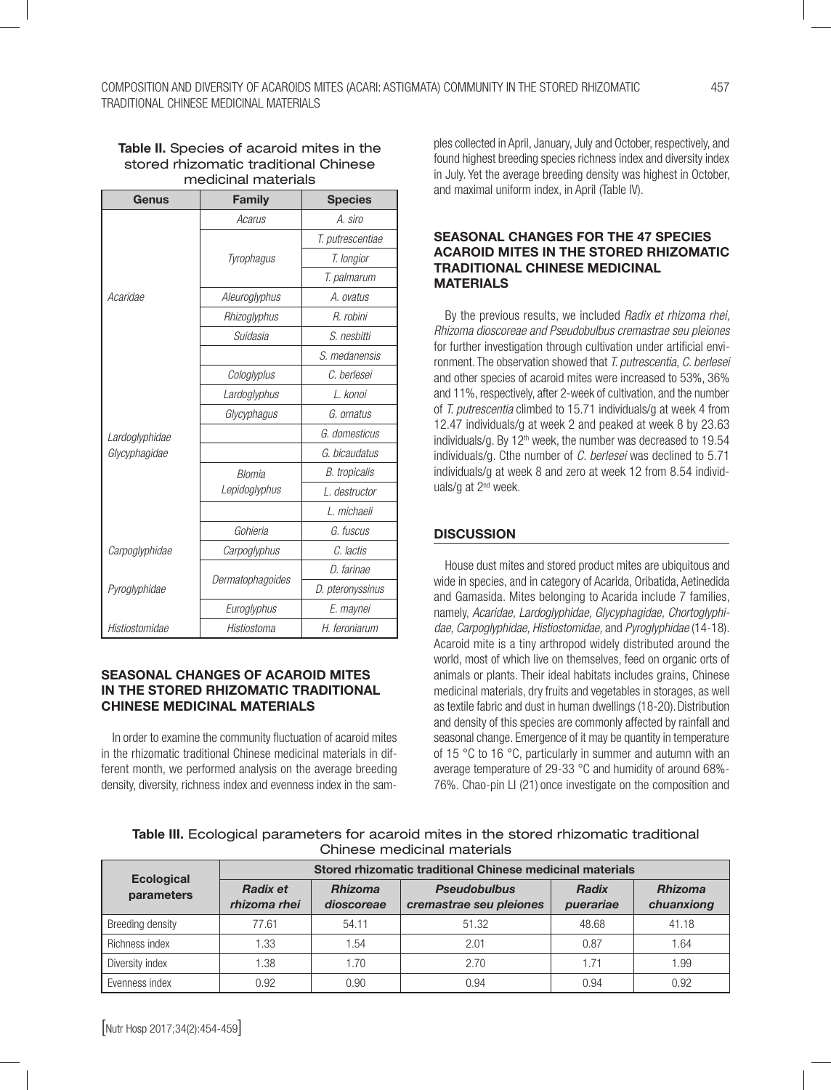#### Table II. Species of acaroid mites in the stored rhizomatic traditional Chinese medicinal materials

| Genus          | <b>Family</b>    | <b>Species</b>       |  |
|----------------|------------------|----------------------|--|
|                | Acarus           | A. siro              |  |
|                |                  | T. putrescentiae     |  |
|                | Tyrophagus       | T. longior           |  |
|                |                  | T. palmarum          |  |
| Acaridae       | Aleuroglyphus    | A. ovatus            |  |
|                | Rhizoglyphus     | R. robini            |  |
|                | Suidasia         | S. nesbitti          |  |
|                |                  | S. medanensis        |  |
|                | Cologlyplus      | C. berlesei          |  |
|                | Lardoglyphus     | L. konoi             |  |
|                | Glycyphagus      | G. ornatus           |  |
| Lardoglyphidae |                  | G. domesticus        |  |
| Glycyphagidae  |                  | G. bicaudatus        |  |
|                | <b>Blomia</b>    | <b>B.</b> tropicalis |  |
|                | Lepidoglyphus    | L. destructor        |  |
|                |                  | L. michaeli          |  |
|                | Gohieria         | G. fuscus            |  |
| Carpoglyphidae | Carpoglyphus     | C. lactis            |  |
| Pyroglyphidae  |                  | D. farinae           |  |
|                | Dermatophagoides | D. pteronyssinus     |  |
|                | Euroglyphus      | E. maynei            |  |
| Histiostomidae | Histiostoma      | H. feroniarum        |  |

# SEASONAL CHANGES OF ACAROID MITES IN THE STORED RHIZOMATIC TRADITIONAL CHINESE MEDICINAL MATERIALS

In order to examine the community fluctuation of acaroid mites in the rhizomatic traditional Chinese medicinal materials in different month, we performed analysis on the average breeding density, diversity, richness index and evenness index in the samples collected in April, January, July and October, respectively, and found highest breeding species richness index and diversity index in July. Yet the average breeding density was highest in October, and maximal uniform index, in April (Table IV).

### SEASONAL CHANGES FOR THE 47 SPECIES ACAROID MITES IN THE STORED RHIZOMATIC TRADITIONAL CHINESE MEDICINAL MATERIALS

By the previous results, we included *Radix et rhizoma rhei, Rhizoma dioscoreae and Pseudobulbus cremastrae seu pleiones*  for further investigation through cultivation under artificial environment. The observation showed that *T. putrescentia*, *C. berlesei* and other species of acaroid mites were increased to 53%, 36% and 11%, respectively, after 2-week of cultivation, and the number of *T. putrescentia* climbed to 15.71 individuals/g at week 4 from 12.47 individuals/g at week 2 and peaked at week 8 by 23.63 individuals/g. By  $12<sup>th</sup>$  week, the number was decreased to  $19.54$ individuals/g. Cthe number of *C. berlesei* was declined to 5.71 individuals/g at week 8 and zero at week 12 from 8.54 individuals/g at 2<sup>nd</sup> week.

# **DISCUSSION**

House dust mites and stored product mites are ubiquitous and wide in species, and in category of Acarida, Oribatida, Aetinedida and Gamasida. Mites belonging to Acarida include 7 families, namely, *Acaridae, Lardoglyphidae, Glycyphagidae, Chortoglyphidae, Carpoglyphidae, Histiostomidae,* and *Pyroglyphidae* (14-18). Acaroid mite is a tiny arthropod widely distributed around the world, most of which live on themselves, feed on organic orts of animals or plants. Their ideal habitats includes grains, Chinese medicinal materials, dry fruits and vegetables in storages, as well as textile fabric and dust in human dwellings (18-20). Distribution and density of this species are commonly affected by rainfall and seasonal change. Emergence of it may be quantity in temperature of 15 °C to 16 °C, particularly in summer and autumn with an average temperature of 29-33 °C and humidity of around 68%- 76%. Chao-pin LI (21) once investigate on the composition and

| Table III. Ecological parameters for acaroid mites in the stored rhizomatic traditional |
|-----------------------------------------------------------------------------------------|
| Chinese medicinal materials                                                             |

|                                 | Stored rhizomatic traditional Chinese medicinal materials |                              |                                                |                           |                              |  |
|---------------------------------|-----------------------------------------------------------|------------------------------|------------------------------------------------|---------------------------|------------------------------|--|
| <b>Ecological</b><br>parameters | <b>Radix et</b><br>rhizoma rhei                           | <b>Rhizoma</b><br>dioscoreae | <b>Pseudobulbus</b><br>cremastrae seu pleiones | <b>Radix</b><br>puerariae | <b>Rhizoma</b><br>chuanxiong |  |
| Breeding density                | 77.61                                                     | 54.11                        | 51.32                                          | 48.68                     | 41.18                        |  |
| Richness index                  | .33                                                       | 1.54                         | 2.01                                           | 0.87                      | 1.64                         |  |
| Diversity index                 | .38                                                       | 1.70                         | 2.70                                           | 1.71                      | .99                          |  |
| Evenness index                  | 0.92                                                      | 0.90                         | 0.94                                           | 0.94                      | 0.92                         |  |

[Nutr Hosp 2017;34(2):454-459]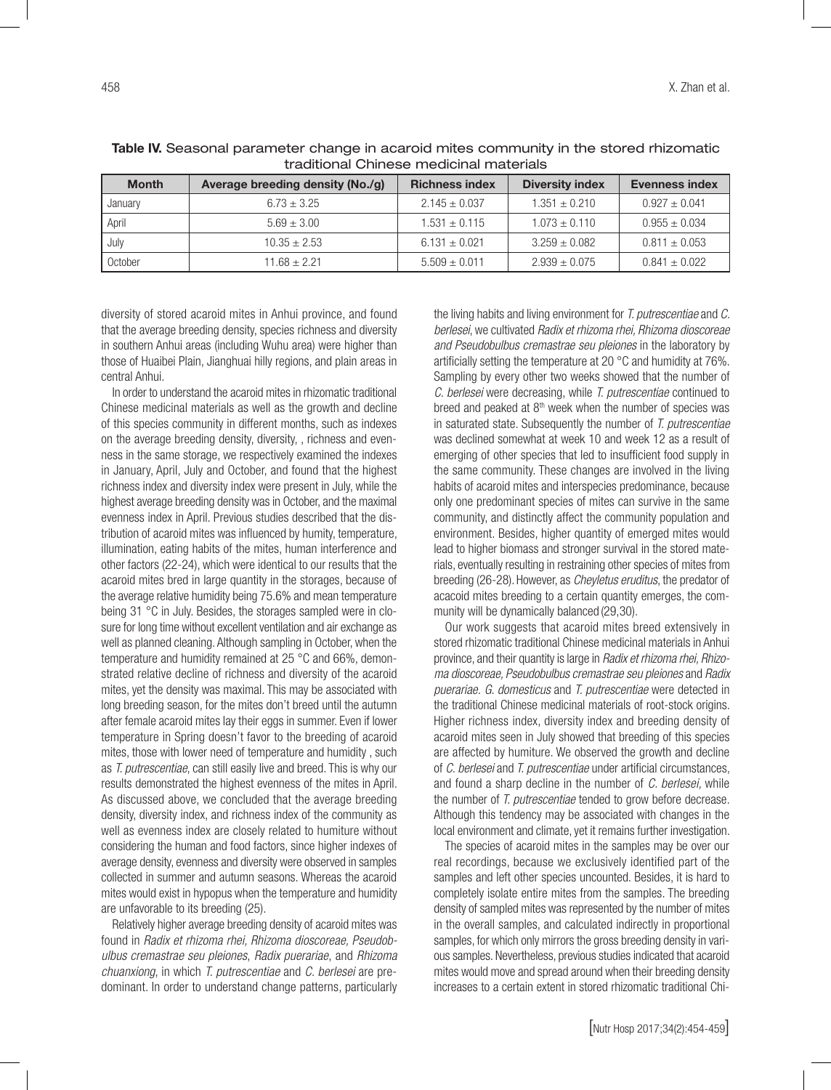| <b>Month</b> | Average breeding density (No./g) | <b>Richness index</b> | <b>Diversity index</b> | <b>Evenness index</b> |
|--------------|----------------------------------|-----------------------|------------------------|-----------------------|
| January      | $6.73 \pm 3.25$                  | $2.145 \pm 0.037$     | $1.351 \pm 0.210$      | $0.927 \pm 0.041$     |
| April        | $5.69 \pm 3.00$                  | $1.531 \pm 0.115$     | $1.073 \pm 0.110$      | $0.955 \pm 0.034$     |
| July         | $10.35 \pm 2.53$                 | $6.131 \pm 0.021$     | $3.259 \pm 0.082$      | $0.811 \pm 0.053$     |
| October      | $11.68 + 2.21$                   | $5.509 \pm 0.011$     | $2.939 \pm 0.075$      | $0.841 \pm 0.022$     |

Table IV. Seasonal parameter change in acaroid mites community in the stored rhizomatic traditional Chinese medicinal materials

diversity of stored acaroid mites in Anhui province, and found that the average breeding density, species richness and diversity in southern Anhui areas (including Wuhu area) were higher than those of Huaibei Plain, Jianghuai hilly regions, and plain areas in central Anhui.

In order to understand the acaroid mites in rhizomatic traditional Chinese medicinal materials as well as the growth and decline of this species community in different months, such as indexes on the average breeding density, diversity, , richness and evenness in the same storage, we respectively examined the indexes in January, April, July and October, and found that the highest richness index and diversity index were present in July, while the highest average breeding density was in October, and the maximal evenness index in April. Previous studies described that the distribution of acaroid mites was influenced by humity, temperature, illumination, eating habits of the mites, human interference and other factors (22-24), which were identical to our results that the acaroid mites bred in large quantity in the storages, because of the average relative humidity being 75.6% and mean temperature being 31 °C in July. Besides, the storages sampled were in closure for long time without excellent ventilation and air exchange as well as planned cleaning. Although sampling in October, when the temperature and humidity remained at 25 °C and 66%, demonstrated relative decline of richness and diversity of the acaroid mites, yet the density was maximal. This may be associated with long breeding season, for the mites don't breed until the autumn after female acaroid mites lay their eggs in summer. Even if lower temperature in Spring doesn't favor to the breeding of acaroid mites, those with lower need of temperature and humidity , such as *T. putrescentiae*, can still easily live and breed. This is why our results demonstrated the highest evenness of the mites in April. As discussed above, we concluded that the average breeding density, diversity index, and richness index of the community as well as evenness index are closely related to humiture without considering the human and food factors, since higher indexes of average density, evenness and diversity were observed in samples collected in summer and autumn seasons. Whereas the acaroid mites would exist in hypopus when the temperature and humidity are unfavorable to its breeding (25).

Relatively higher average breeding density of acaroid mites was found in *Radix et rhizoma rhei, Rhizoma dioscoreae, Pseudobulbus cremastrae seu pleiones*, *Radix puerariae*, and *Rhizoma chuanxiong*, in which *T. putrescentiae* and *C. berlesei* are predominant. In order to understand change patterns, particularly

the living habits and living environment for *T. putrescentiae* and *C. berlesei*, we cultivated *Radix et rhizoma rhei, Rhizoma dioscoreae and Pseudobulbus cremastrae seu pleiones* in the laboratory by artificially setting the temperature at 20 °C and humidity at 76%. Sampling by every other two weeks showed that the number of *C. berlesei* were decreasing, while *T. putrescentiae* continued to breed and peaked at  $8<sup>th</sup>$  week when the number of species was in saturated state. Subsequently the number of *T. putrescentiae* was declined somewhat at week 10 and week 12 as a result of emerging of other species that led to insufficient food supply in the same community. These changes are involved in the living habits of acaroid mites and interspecies predominance, because only one predominant species of mites can survive in the same community, and distinctly affect the community population and environment. Besides, higher quantity of emerged mites would lead to higher biomass and stronger survival in the stored materials, eventually resulting in restraining other species of mites from breeding (26-28).However, as *Cheyletus eruditus*, the predator of acacoid mites breeding to a certain quantity emerges, the community will be dynamically balanced (29,30).

Our work suggests that acaroid mites breed extensively in stored rhizomatic traditional Chinese medicinal materials in Anhui province, and their quantity is large in *Radix et rhizoma rhei, Rhizoma dioscoreae, Pseudobulbus cremastrae seu pleiones* and *Radix puerariae. G. domesticus* and *T. putrescentiae* were detected in the traditional Chinese medicinal materials of root-stock origins. Higher richness index, diversity index and breeding density of acaroid mites seen in July showed that breeding of this species are affected by humiture. We observed the growth and decline of *C. berlesei* and *T. putrescentiae* under artificial circumstances, and found a sharp decline in the number of *C. berlesei,* while the number of *T. putrescentiae* tended to grow before decrease. Although this tendency may be associated with changes in the local environment and climate, yet it remains further investigation.

The species of acaroid mites in the samples may be over our real recordings, because we exclusively identified part of the samples and left other species uncounted. Besides, it is hard to completely isolate entire mites from the samples. The breeding density of sampled mites was represented by the number of mites in the overall samples, and calculated indirectly in proportional samples, for which only mirrors the gross breeding density in various samples. Nevertheless, previous studies indicated that acaroid mites would move and spread around when their breeding density increases to a certain extent in stored rhizomatic traditional Chi